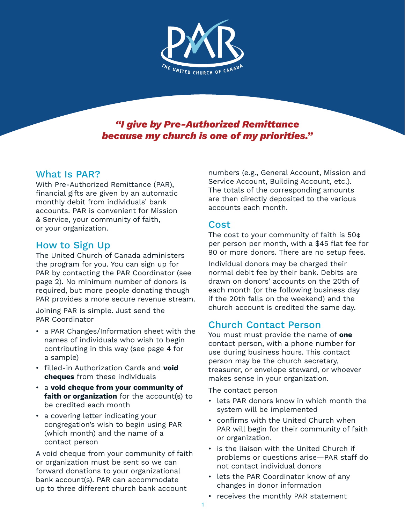

#### *"I give by Pre-Authorized Remittance because my church is one of my priorities."*

#### What Is PAR?

With Pre-Authorized Remittance (PAR), financial gifts are given by an automatic monthly debit from individuals' bank accounts. PAR is convenient for Mission & Service, your community of faith, or your organization.

#### How to Sign Up

The United Church of Canada administers the program for you. You can sign up for PAR by contacting the PAR Coordinator (see page 2). No minimum number of donors is required, but more people donating though PAR provides a more secure revenue stream.

Joining PAR is simple. Just send the PAR Coordinator

- a PAR Changes/Information sheet with the names of individuals who wish to begin contributing in this way (see page 4 for a sample)
- filled-in Authorization Cards and **void cheques** from these individuals
- a **void cheque from your community of faith or organization** for the account(s) to be credited each month
- a covering letter indicating your congregation's wish to begin using PAR (which month) and the name of a contact person

A void cheque from your community of faith or organization must be sent so we can forward donations to your organizational bank account(s). PAR can accommodate up to three different church bank account

numbers (e.g., General Account, Mission and Service Account, Building Account, etc.). The totals of the corresponding amounts are then directly deposited to the various accounts each month.

#### Cost

The cost to your community of faith is 50¢ per person per month, with a \$45 flat fee for 90 or more donors. There are no setup fees.

Individual donors may be charged their normal debit fee by their bank. Debits are drawn on donors' accounts on the 20th of each month (or the following business day if the 20th falls on the weekend) and the church account is credited the same day.

## Church Contact Person

You must must provide the name of **one** contact person, with a phone number for use during business hours. This contact person may be the church secretary, treasurer, or envelope steward, or whoever makes sense in your organization.

The contact person

- lets PAR donors know in which month the system will be implemented
- confirms with the United Church when PAR will begin for their community of faith or organization.
- is the liaison with the United Church if problems or questions arise—PAR staff do not contact individual donors
- lets the PAR Coordinator know of any changes in donor information
- receives the monthly PAR statement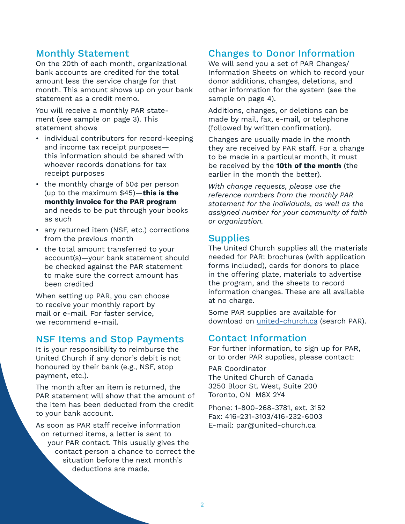#### Monthly Statement

On the 20th of each month, organizational bank accounts are credited for the total amount less the service charge for that month. This amount shows up on your bank statement as a credit memo.

You will receive a monthly PAR statement (see sample on page 3). This statement shows

- individual contributors for record-keeping and income tax receipt purposes this information should be shared with whoever records donations for tax receipt purposes
- the monthly charge of 50¢ per person (up to the maximum \$45)—**this is the monthly invoice for the PAR program** and needs to be put through your books as such
- any returned item (NSF, etc.) corrections from the previous month
- the total amount transferred to your account(s)—your bank statement should be checked against the PAR statement to make sure the correct amount has been credited

When setting up PAR, you can choose to receive your monthly report by mail or e-mail. For faster service, we recommend e-mail.

#### NSF Items and Stop Payments

It is your responsibility to reimburse the United Church if any donor's debit is not honoured by their bank (e.g., NSF, stop payment, etc.).

The month after an item is returned, the PAR statement will show that the amount of the item has been deducted from the credit to your bank account.

As soon as PAR staff receive information on returned items, a letter is sent to your PAR contact. This usually gives the contact person a chance to correct the situation before the next month's deductions are made.

## Changes to Donor Information

We will send you a set of PAR Changes/ Information Sheets on which to record your donor additions, changes, deletions, and other information for the system (see the sample on page 4).

Additions, changes, or deletions can be made by mail, fax, e-mail, or telephone (followed by written confirmation).

Changes are usually made in the month they are received by PAR staff. For a change to be made in a particular month, it must be received by the **10th of the month** (the earlier in the month the better).

*With change requests, please use the reference numbers from the monthly PAR statement for the individuals, as well as the assigned number for your community of faith or organization.*

#### **Supplies**

The United Church supplies all the materials needed for PAR: brochures (with application forms included), cards for donors to place in the offering plate, materials to advertise the program, and the sheets to record information changes. These are all available at no charge.

Some PAR supplies are available for download on [united-church.ca](https://united-church.ca/community-and-faith/get-involved/ways-give/giving-monthly-through-par) (search PAR).

#### Contact Information

For further information, to sign up for PAR, or to order PAR supplies, please contact:

PAR Coordinator The United Church of Canada 3250 Bloor St. West, Suite 200 Toronto, ON M8X 2Y4

Phone: 1-800-268-3781, ext. 3152 Fax: 416-231-3103/416-232-6003 E-mail: par@united-church.ca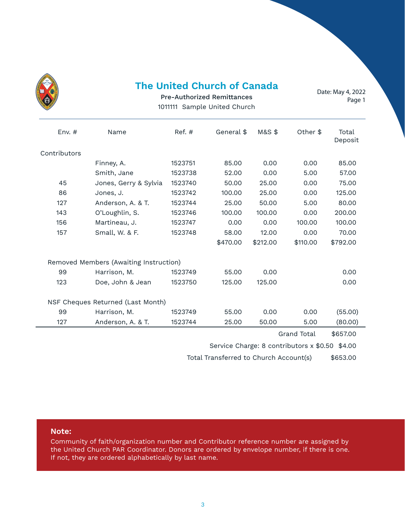| ١<br><b>CONSTANT</b><br>Ç<br>ę |
|--------------------------------|
|                                |

#### **The United Church of Canada**

Date: May 4, 2022 Page 1

Pre-Authorized Remittances 1011111 Sample United Church

| Env. $#$     | Name                                   | Ref. #  | General \$ | <b>M&amp;S \$</b> | Other \$ | Total<br>Deposit |
|--------------|----------------------------------------|---------|------------|-------------------|----------|------------------|
| Contributors |                                        |         |            |                   |          |                  |
|              | Finney, A.                             | 1523751 | 85.00      | 0.00              | 0.00     | 85.00            |
|              | Smith, Jane                            | 1523738 | 52.00      | 0.00              | 5.00     | 57.00            |
| 45           | Jones, Gerry & Sylvia                  | 1523740 | 50.00      | 25.00             | 0.00     | 75.00            |
| 86           | Jones, J.                              | 1523742 | 100.00     | 25.00             | 0.00     | 125.00           |
| 127          | Anderson, A. & T.                      | 1523744 | 25.00      | 50.00             | 5.00     | 80.00            |
| 143          | O'Loughlin, S.                         | 1523746 | 100.00     | 100.00            | 0.00     | 200.00           |
| 156          | Martineau, J.                          | 1523747 | 0.00       | 0.00              | 100.00   | 100.00           |
| 157          | Small, W. & F.                         | 1523748 | 58.00      | 12.00             | 0.00     | 70.00            |
|              |                                        |         | \$470.00   | \$212.00          | \$110.00 | \$792.00         |
|              | Removed Members (Awaiting Instruction) |         |            |                   |          |                  |
| 99           | Harrison, M.                           | 1523749 | 55.00      | 0.00              |          | 0.00             |
| 123          | Doe, John & Jean                       | 1523750 | 125.00     | 125.00            |          | 0.00             |
|              | NSF Cheques Returned (Last Month)      |         |            |                   |          |                  |
| 99           | Harrison, M.                           | 1523749 | 55.00      | 0.00              | 0.00     | (55.00)          |
| 127          | Anderson, A. & T.                      | 1523744 | 25.00      | 50.00             | 5.00     | (80.00)          |
|              |                                        |         |            |                   |          | $+ - - - - -$    |

Grand Total \$657.00

Service Charge: 8 contributors x \$0.50 \$4.00

Total Transferred to Church Account(s) \$653.00

#### **Note:**

Community of faith/organization number and Contributor reference number are assigned by the United Church PAR Coordinator. Donors are ordered by envelope number, if there is one. If not, they are ordered alphabetically by last name.